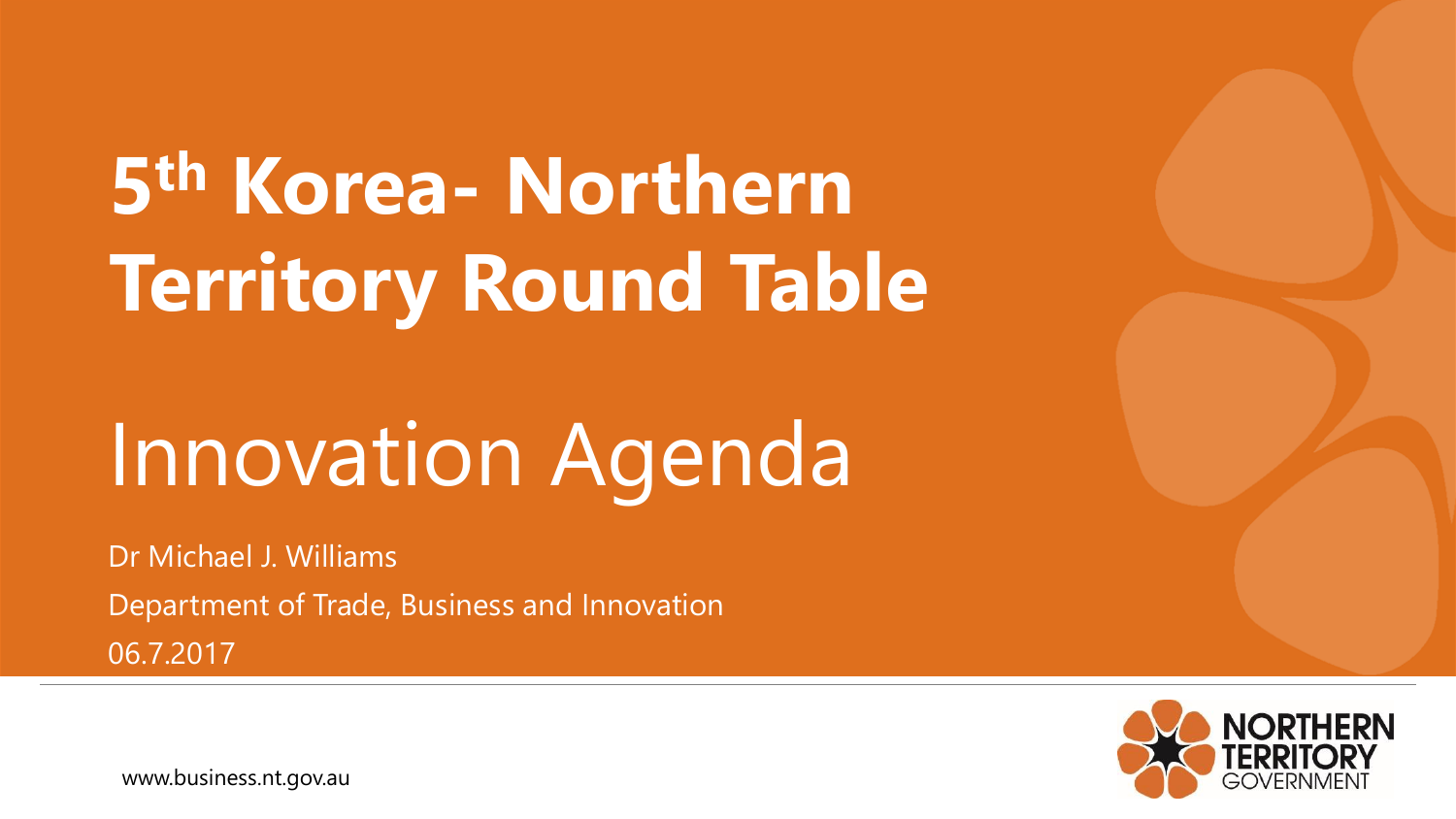## **5 th Korea- Northern Territory Round Table**

### Innovation Agenda

Dr Michael J. Williams Department of Trade, Business and Innovation 06.7.2017



www.business.nt.gov.au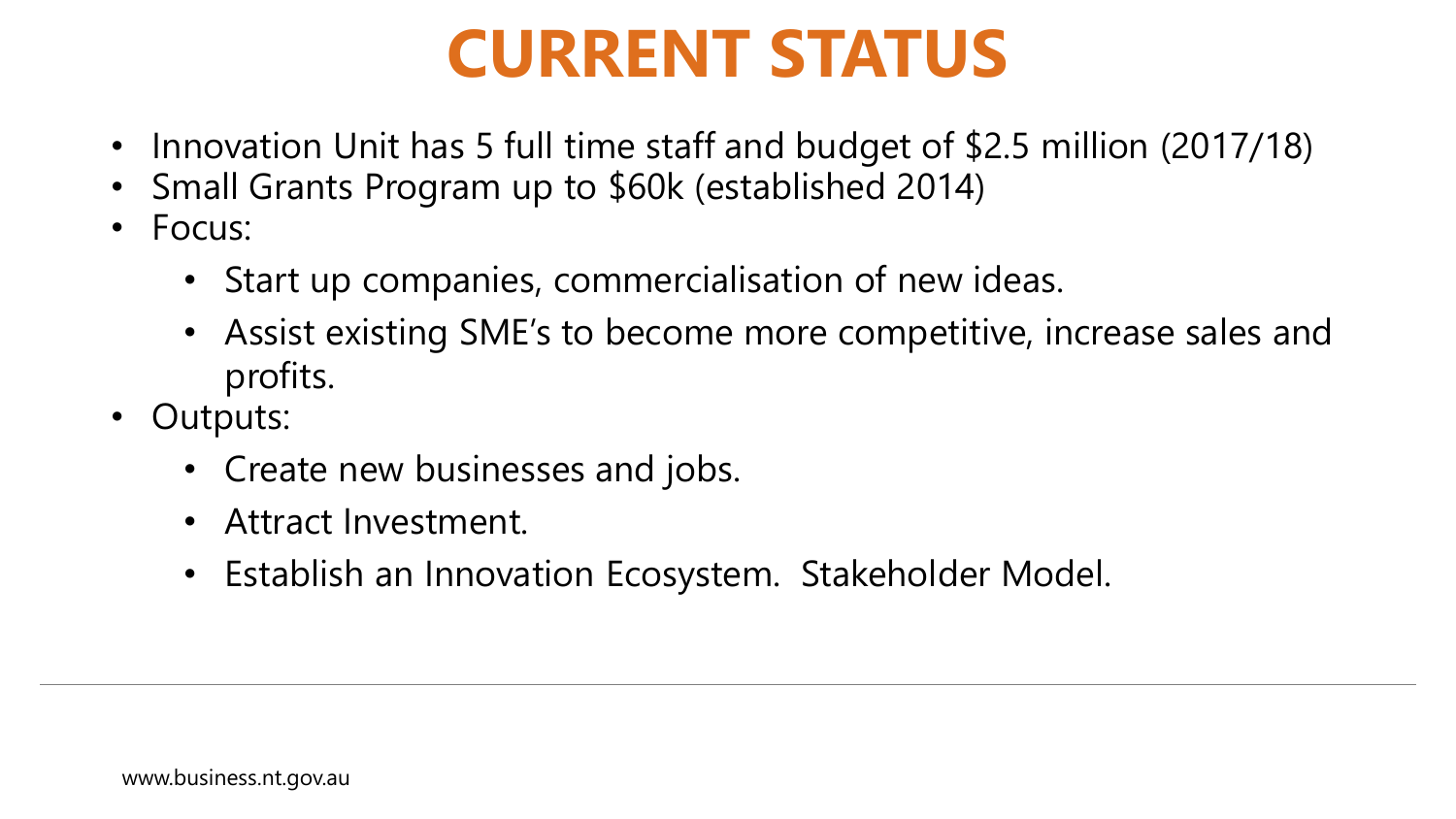#### **CURRENT STATUS**

- Innovation Unit has 5 full time staff and budget of \$2.5 million (2017/18)
- Small Grants Program up to \$60k (established 2014)
- Focus:
	- Start up companies, commercialisation of new ideas.
	- Assist existing SME's to become more competitive, increase sales and profits.
- Outputs:
	- Create new businesses and jobs.
	- Attract Investment.
	- Establish an Innovation Ecosystem. Stakeholder Model.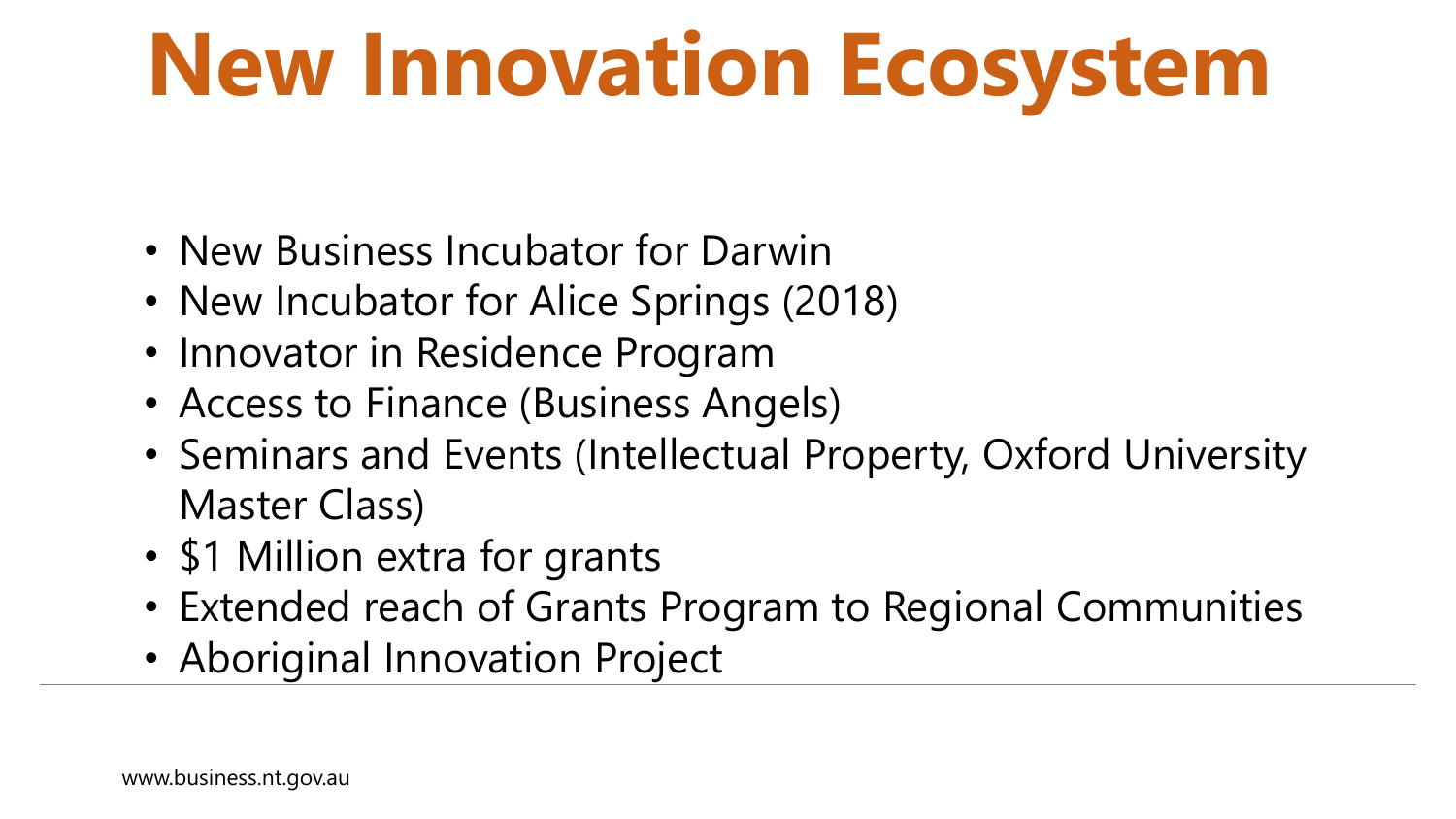# **New Innovation Ecosystem**

- New Business Incubator for Darwin
- New Incubator for Alice Springs (2018)
- Innovator in Residence Program
- Access to Finance (Business Angels)
- Seminars and Events (Intellectual Property, Oxford University Master Class)
- \$1 Million extra for grants
- Extended reach of Grants Program to Regional Communities
- Aboriginal Innovation Project